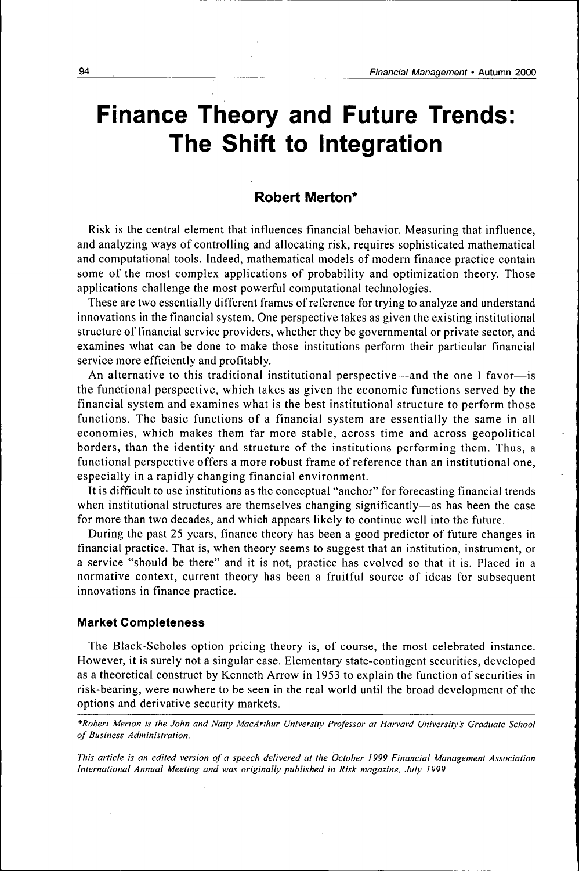# **Finance Theory and Future Trends: The Shift to Integration**

# **Robert Merton\***

Risk is the central element that influences financial behavior. Measuring that influence, and analyzing ways of controlling and allocating risk, requires sophisticated mathematical and computational tools. Indeed, mathematical models of modern finance practice contain some of the most complex applications of probability and optimization theory. Those applications challenge the most powerful computational technologies.

These are two essentially different frames of reference for trying to analyze and understand innovations in the financial system. One perspective takes as given the existing institutional structure of financial service providers, whether they be governmental or private sector, and examines what can be done to make those institutions perform their particular financial service more efficiently and profitably.

An alternative to this traditional institutional perspective—and the one I favor—is the functional perspective, which takes as given the economic functions served by the financial system and examines what is the best institutional structure to perform those functions. The basic functions of a financial system are essentially the same in all economies, which makes them far more stable, across time and across geopolitical borders, than the identity and structure of the institutions performing them. Thus, a functional perspective offers a more robust frame of reference than an institutional one, especially in a rapidly changing financial environment.

It is difficult to use institutions as the conceptual "anchor" for forecasting financial trends when institutional structures are themselves changing significantly—as has been the case for more than two decades, and which appears likely to continue well into the future.

During the past 25 years, finance theory has been a good predictor of future changes in financial practice. That is, when theory seems to suggest that an institution, instrument, or a service "should be there" and it is not, practice has evolved so that it is. Placed in a normative context, current theory has been a fruitful source of ideas for subsequent innovations in finance practice.

#### **Market Completeness**

The Black-Scholes option pricing theory is, of course, the most celebrated instance. However, it is surely not a singular case. Elementary state-contingent securities, developed as a theoretical construct by Kenneth Arrow in 1953 to explain the function of securities in risk-bearing, were nowhere to be seen in the real world until the broad development of the options and derivative security markets.

*\* Robert Merton is the John and Natty MacArthur University Professor at Harvard University's Graduate School of Business Administration.*

*This article is an edited version of a speech delivered at the October 1999 Financial Management Association International Annual Meeting and was originally published in Risk magazine, July 1999.*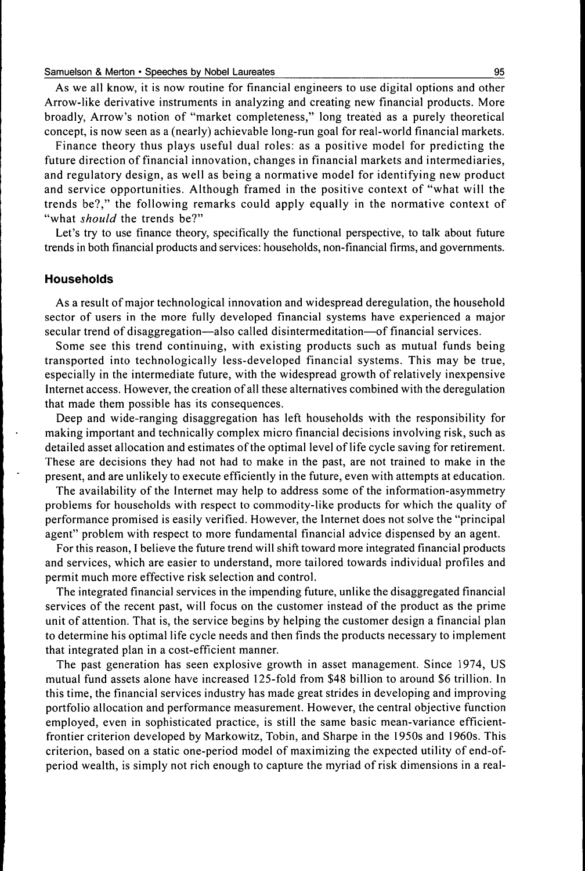As we all know, it is now routine for financial engineers to use digital options and other Arrow-like derivative instruments in analyzing and creating new financial products. More broadly, Arrow's notion of "market completeness," long treated as a purely theoretical concept, is now seen as a (nearly) achievable long-run goal for real-world financial markets.

Finance theory thus plays useful dual roles: as a positive model for predicting the future direction of financial innovation, changes in financial markets and intermediaries, and regulatory design, as well as being a normative model for identifying new product and service opportunities. Although framed in the positive context of "what will the trends be?," the following remarks could apply equally in the normative context of "what *should* the trends be?"

Let's try to use finance theory, specifically the functional perspective, to talk about future trends in both financial products and services: households, non-financial firms, and govemments.

#### **Households**

As a result of major technological innovation and widespread deregulation, the household sector of users in the more fully developed financial systems have experienced a major secular trend of disaggregation—also called disintermeditation—of financial services.

Some see this trend continuing, with existing products such as mutual funds being transported into technologically less-developed financial systems. This may be true, especially in the intermediate future, with the widespread growth of relatively inexpensive Internet access. However, the creation of all these alternatives combined with the deregulation that made them possible has its consequences.

Deep and wide-ranging disaggregation has left households with the responsibility for making important and technically complex micro financial decisions involving risk, such as detailed asset allocation and estimates of the optimal level of life cycle saving for retirement. These are decisions they had not had to make in the past, are not trained to make in the present, and are unlikely to execute efficiently in the future, even with attempts at education.

The availability of the Internet may help to address some of the information-asymmetry problems for households with respect to commodity-like products for which the quality of performance promised is easily verified. However, the Internet does not solve the "principal agent" problem with respect to more fundamental financial advice dispensed by an agent.

For this reason, I believe the future trend will shift toward more integrated financial products and services, which are easier to understand, more tailored towards individual profiles and permit much more effective risk selection and control.

The integrated financial services in the impending future, unlike the disaggregated financial services of the recent past, will focus on the customer instead of the product as the prime unit of attention. That is, the service begins by helping the customer design a financial plan to determine his optimal life cycle needs and then finds the products necessary to implement that integrated plan in a cost-efficient manner.

The past generation has seen explosive growth in asset management. Since 1974, US mutual fund assets alone have increased 125-fold from \$48 billion to around \$6 trillion. In this time, the financial services industry has made great strides in developing and improving portfolio allocation and performance measurement. However, the central objective function employed, even in sophisticated practice, is still the same basic mean-variance efficientfrontier criterion developed by Markowitz, Tobin, and Sharpe in the 1950s and 1960s. This criterion, based on a static one-period model of maximizing the expected utility of end-ofperiod wealth, is simply not rich enough to capture the myriad of risk dimensions in a real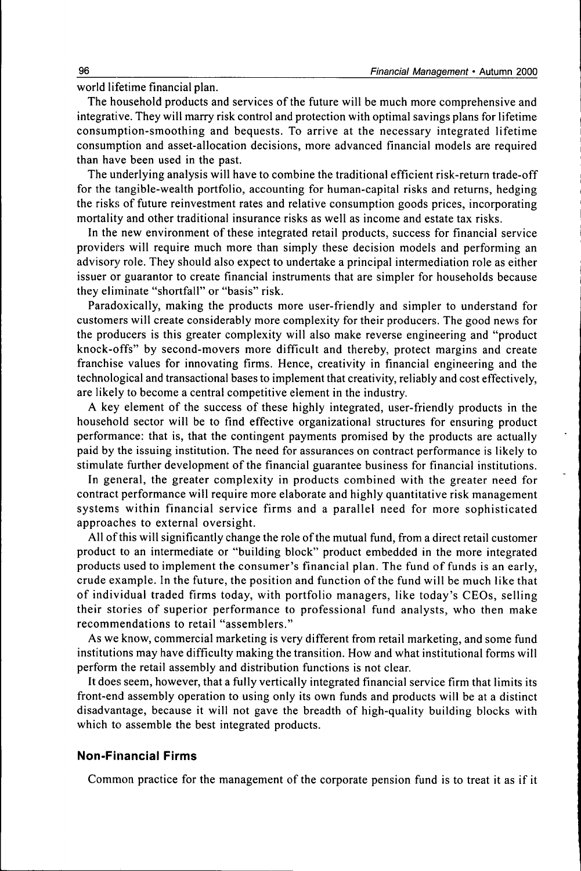world lifetime financial plan.

The household products and services of the future will be much more comprehensive and integrative. They will marry risk control and protection with optimal savings plans for lifetime consumption-smoothing and bequests. To arrive at the necessary integrated lifetime consumption and asset-allocation decisions, more advanced financial models are required than have been used in the past.

The underlying analysis will have to combine the traditional efficient risk-return trade-off for the tangible-wealth portfolio, accounting for human-capital risks and returns, hedging the risks of future reinvestment rates and relative consumption goods prices, incorporating mortality and other traditional insurance risks as well as income and estate tax risks.

In the new environment of these integrated retail products, success for financial service providers will require mueh more than simply these decision models and performing an advisory role. They should also expect to undertake a principal intermediation role as either issuer or guarantor to create financial instruments that are simpler for households because they eliminate "shortfall" or "basis" risk.

Paradoxically, making the products more user-friendly and simpler to understand for customers will create considerably more complexity for their producers. The good news for the producers is this greater complexity will also make reverse engineering and "product knoek-offs" by second-movers more difficult and thereby, protect margins and create franchise values for innovating firms. Hence, creativity in finaneial engineering and the technological and transactional bases to implement that creativity, reliably and cost effectively, are likely to become a central competitive element in the industry.

A key element of the success of these highly integrated, user-friendly products in the household sector will be to find effective organizational structures for ensuring product performance: that is, that the contingent payments promised by the products are actually paid by the issuing institution. The need for assurances on contract performance is likely to stimulate further development of the financial guarantee business for financial institutions.

In general, the greater complexity in products combined with the greater need for contract performance will require more elaborate and highly quantitative risk management systems within financial service firms and a parallel need for more sophisticated approaches to external oversight.

All of this will significantly change the role of the mutual fund, from a direct retail customer product to an intermediate or "building block" product embedded in the more integrated products used to implement the consumer's financial plan. The fund of funds is an early, crude example. In the future, the position and function of the fund will be much like that of individual traded firms today, with portfolio managers, like today's CEOs, selling their stories of superior performance to professional fund analysts, who then make recommendations to retail "assemblers."

As we know, commereial marketing is very different from retail marketing, and some fund institutions may have difficulty making the transition. How and what institutional forms will perform the retail assembly and distribution functions is not clear.

It does seem, however, that a fully vertically integrated financial service firm that limits its front-end assembly operation to using only its own funds and products will be at a distinct disadvantage, because it will not gave the breadth of high-quality building blocks with which to assemble the best integrated products.

#### **Non-Financial Firms**

Common practice for the management of the corporate pension fund is to treat it as if it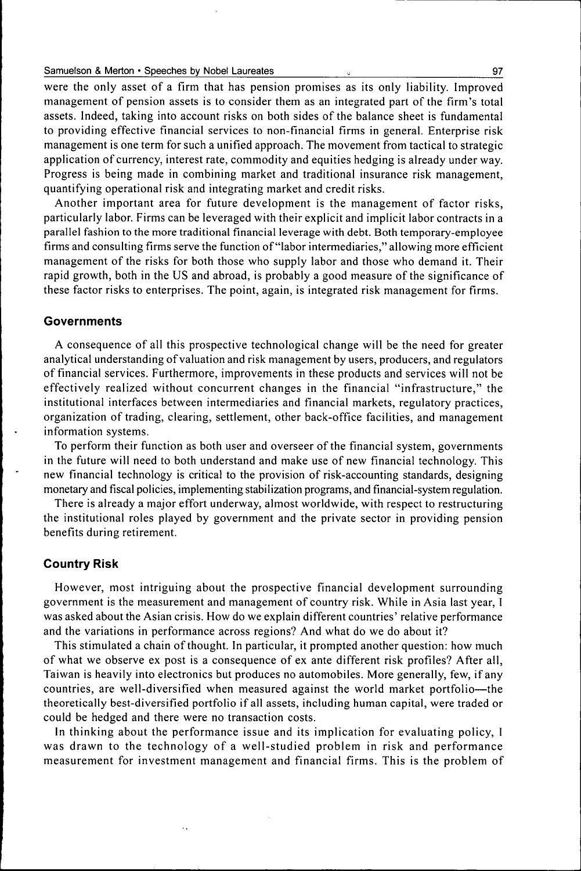#### Samuelson & Merton • Speeches by Nobel Laureates example and service products of 97

were the only asset of a firm that has pension promises as its only liability. Improved management of pension assets is to consider them as an integrated part of the firm's total assets. Indeed, taking into account risks on both sides of the balance sheet is fundamental to providing effective fmancial services to non-fmancial firms in general. Enterprise risk management is one term for such a unified approach. The movement from tactical to strategic application of currency, interest rate, commodity and equities hedging is already under way. Progress is being made in combining market and traditional insurance risk management, quantifying operational risk and integrating market and credit risks.

Another important area for future development is the management of factor risks, particularly labor. Firms can be leveraged with their explicit and implicit labor contracts in a parallel fashion to the more traditional financial leverage with debt. Both temporary-employee firms and consulting firms serve the function of "labor intermediaries," allowing more efficient management of the risks for both those who supply labor and those who demand it. Their rapid growth, both in the US and abroad, is probably a good measure of the significance of these factor risks to enterprises. The point, again, is integrated risk management for firms.

### **Governments**

A consequence of all this prospective technological change will be the need for greater analytical understanding of valuation and risk management by users, producers, and regulators of financial services. Furthermore, improvements in these products and services will not be effectively realized without concurrent changes in the financial "infrastructure," the institutional interfaces between intermediaries and financial markets, regulatory practices, organization of trading, clearing, settlement, other back-office facilities, and management information systems.

To perform their function as both user and overseer of the financial system, governments in the future will need to both understand and make use of new financial technology. This new financial technology is critical to the provision of risk-accounting standards, designing monetary and fiscal policies, implementing stabilization programs, and financial-system regulation.

There is already a major effort underway, almost worldwide, with respect to restructuring the institutional roles played by government and the private sector in providing pension benefits during retirement.

## **Country Risk**

However, most intriguing about the prospective financial development surrounding government is the measurement and management of country risk. While in Asia last year, I was asked about the Asian crisis. How do we explain different countries' relative performance and the variations in performance across regions? And what do we do about it?

This stimulated a chain of thought. In particular, it prompted another question: how much of what we observe ex post is a consequence of ex ante different risk profiles? After all, Taiwan is heavily into electronics but produces no automobiles. More generally, few, if any countries, are well-diversified when measured against the world market portfolio—the theoretically best-diversified portfolio if all assets, ificluding human capital, were traded or could be hedged and there were no transaction costs.

In thinking about the performance issue and its implication for evaluating policy, I was drawn to the technology of a well-studied problem in risk and performance measurement for investment management and financial firms. This is the problem of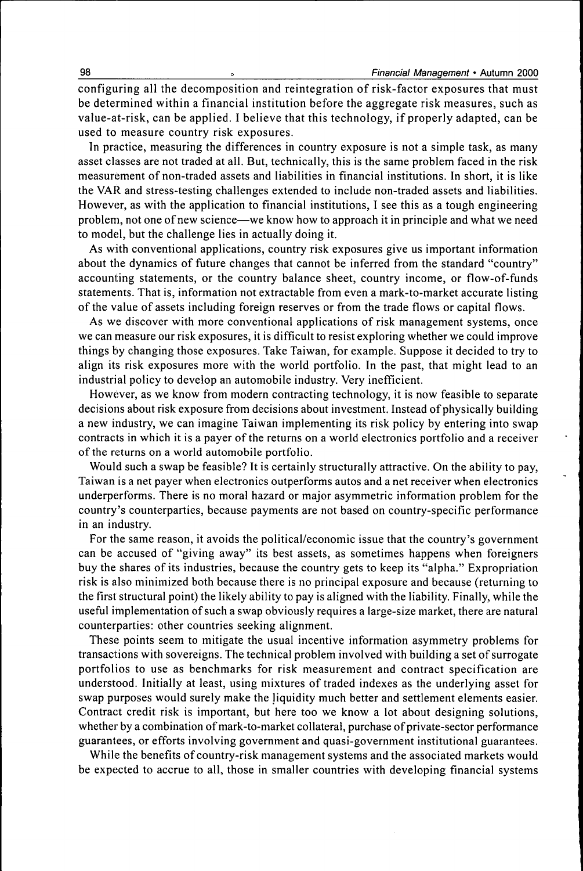configuring all the decomposition and réintégration of risk-factor exposures that must be determined within a financial institution before the aggregate risk measures, such as value-at-risk, can be applied. I believe that this technology, if properly adapted, can be used to measure country risk exposures.

In practice, measuring the differences in country exposure is not a simple task, as many asset classes are not traded at all. But, technically, this is the same problem faced in the risk measurement of non-traded assets and liabilities in fmancial institutions. In short, it is like the VAR and stress-testing challenges extended to include non-traded assets and liabilities. However, as with the application to financial institutions, I see this as a tough engineering problem, not one of new science—we know how to approach it in principle and what we need to model, but the challenge lies in actually doing it.

As with conventional applications, country risk exposures give us important information about the dynamics of future changes that cannot be inferred from the standard "country" accounting statements, or the country balance sheet, country income, or flow-of-funds statements. That is, information not extractable from even a mark-to-market accurate listing of the value of assets including foreign reserves or from the trade flows or capital flows.

As we discover with more conventional applications of risk management systems, once we can measure our risk exposures, it is difficult to resist exploring whether we could improve things by changing those exposures. Take Taiwan, for example. Suppose it decided to try to align its risk exposures more with the world portfolio. In the past, that might lead to an industrial policy to develop an automobile industry. Very inefficient.

However, as we know from modern contracting technology, it is now feasible to separate decisions about risk exposure from decisions about investment. Instead of physically building a new industry, we can imagine Taiwan implementing its risk policy by entering into swap contracts in which it is a payer of the returns on a world electronics portfolio and a receiver of the returns on a world automobile portfolio.

Would such a swap be feasible? It is certainly structurally attractive. On the ability to pay, Taiwan is a net payer when electronics outperforms autos and a net receiver when electronics underperforms. There is no moral hazard or major asymmetric information problem for the country's counterparties, because payments are not based on country-specific performance in an industry.

For the same reason, it avoids the political/economic issue that the country's government can be accused of "giving away" its best assets, as sometimes happens when foreigners buy the shares of its industries, because the country gets to keep its "alpha." Expropriation risk is also minimized both because there is no principal exposure and because (returning to the first structural point) the likely ability to pay is aligned with the liability. Finally, while the useful implementation of such a swap obviously requires a large-size market, there are natural counterparties: other countries seeking alignment.

These points seem to mitigate the usual incentive information asymmetry problems for transactions with sovereigns. The technical problem involved with building a set of surrogate portfolios to use as benchmarks for risk measurement and contract specification are understood. Initially at least, using mixtures of traded indexes as the underlying asset for swap purposes would surely make the liquidity much better and settlement elements easier. Contract credit risk is important, but here too we know a lot about designing solutions, whether by a combination of mark-to-market collateral, purchase of private-sector performance guarantees, or efforts involving government and quasi-government institutional guarantees.

While the benefits of country-risk management systems and the associated markets would be expected to accrue to all, those in smaller countries with developing financial systems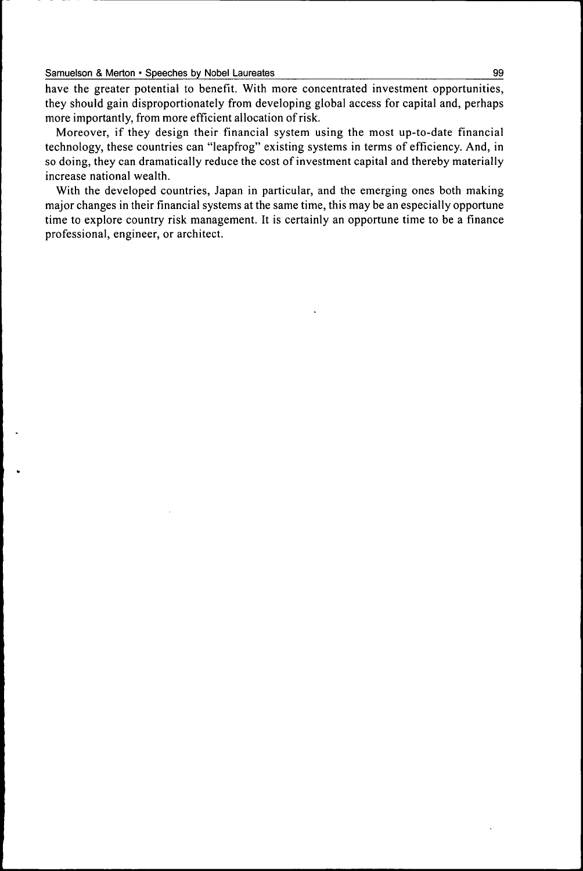have the greater potential to benefit. With more concentrated investment opportunities, they should gain disproportionately from developing global access for capital and, perhaps more importantly, from more efficient allocation of risk.

Moreover, if they design their financial system using the most up-to-date financial technology, these countries can "leapfrog" existing systems in terms of efficiency. And, in so doing, they can dramatically reduce the cost of investment capital and thereby materially increase national wealth.

With the developed countries, Japan in particular, and the emerging ones both making major changes in their financial systems at the same time, this may be an especially opportune time to explore country risk management. It is certainly an opportune time to be a finance professional, engineer, or architect.